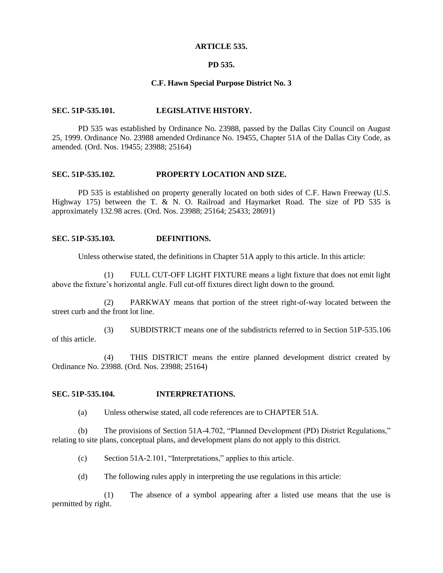#### **ARTICLE 535.**

### **PD 535.**

### **C.F. Hawn Special Purpose District No. 3**

#### **SEC. 51P-535.101. LEGISLATIVE HISTORY.**

PD 535 was established by Ordinance No. 23988, passed by the Dallas City Council on August 25, 1999. Ordinance No. 23988 amended Ordinance No. 19455, Chapter 51A of the Dallas City Code, as amended. (Ord. Nos. 19455; 23988; 25164)

#### **SEC. 51P-535.102. PROPERTY LOCATION AND SIZE.**

PD 535 is established on property generally located on both sides of C.F. Hawn Freeway (U.S. Highway 175) between the T. & N. O. Railroad and Haymarket Road. The size of PD 535 is approximately 132.98 acres. (Ord. Nos. 23988; 25164; 25433; 28691)

### **SEC. 51P-535.103. DEFINITIONS.**

Unless otherwise stated, the definitions in Chapter 51A apply to this article. In this article:

(1) FULL CUT-OFF LIGHT FIXTURE means a light fixture that does not emit light above the fixture's horizontal angle. Full cut-off fixtures direct light down to the ground.

(2) PARKWAY means that portion of the street right-of-way located between the street curb and the front lot line.

(3) SUBDISTRICT means one of the subdistricts referred to in Section 51P-535.106 of this article.

(4) THIS DISTRICT means the entire planned development district created by Ordinance No. 23988. (Ord. Nos. 23988; 25164)

### **SEC. 51P-535.104. INTERPRETATIONS.**

(a) Unless otherwise stated, all code references are to CHAPTER 51A.

(b) The provisions of Section 51A-4.702, "Planned Development (PD) District Regulations," relating to site plans, conceptual plans, and development plans do not apply to this district.

(c) Section 51A-2.101, "Interpretations," applies to this article.

(d) The following rules apply in interpreting the use regulations in this article:

(1) The absence of a symbol appearing after a listed use means that the use is permitted by right.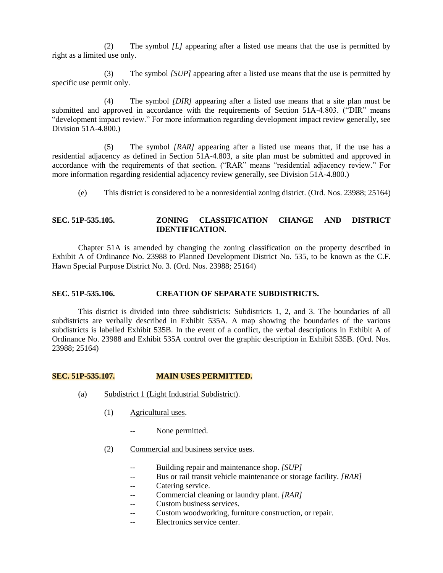(2) The symbol *[L]* appearing after a listed use means that the use is permitted by right as a limited use only.

(3) The symbol *[SUP]* appearing after a listed use means that the use is permitted by specific use permit only.

(4) The symbol *[DIR]* appearing after a listed use means that a site plan must be submitted and approved in accordance with the requirements of Section 51A-4.803. ("DIR" means "development impact review." For more information regarding development impact review generally, see Division 51A-4.800.)

(5) The symbol *[RAR]* appearing after a listed use means that, if the use has a residential adjacency as defined in Section 51A-4.803, a site plan must be submitted and approved in accordance with the requirements of that section. ("RAR" means "residential adjacency review." For more information regarding residential adjacency review generally, see Division 51A-4.800.)

(e) This district is considered to be a nonresidential zoning district. (Ord. Nos. 23988; 25164)

### **SEC. 51P-535.105. ZONING CLASSIFICATION CHANGE AND DISTRICT IDENTIFICATION.**

Chapter 51A is amended by changing the zoning classification on the property described in Exhibit A of Ordinance No. 23988 to Planned Development District No. 535, to be known as the C.F. Hawn Special Purpose District No. 3. (Ord. Nos. 23988; 25164)

#### **SEC. 51P-535.106. CREATION OF SEPARATE SUBDISTRICTS.**

This district is divided into three subdistricts: Subdistricts 1, 2, and 3. The boundaries of all subdistricts are verbally described in Exhibit 535A. A map showing the boundaries of the various subdistricts is labelled Exhibit 535B. In the event of a conflict, the verbal descriptions in Exhibit A of Ordinance No. 23988 and Exhibit 535A control over the graphic description in Exhibit 535B. (Ord. Nos. 23988; 25164)

#### **SEC. 51P-535.107. MAIN USES PERMITTED.**

- (a) Subdistrict 1 (Light Industrial Subdistrict).
	- (1) Agricultural uses.
		- None permitted.
	- (2) Commercial and business service uses.
		- -- Building repair and maintenance shop. *[SUP]*
		- -- Bus or rail transit vehicle maintenance or storage facility. *[RAR]*
		- -- Catering service.
		- Commercial cleaning or laundry plant. *[RAR]*
		- Custom business services.
		- -- Custom woodworking, furniture construction, or repair.
		- -- Electronics service center.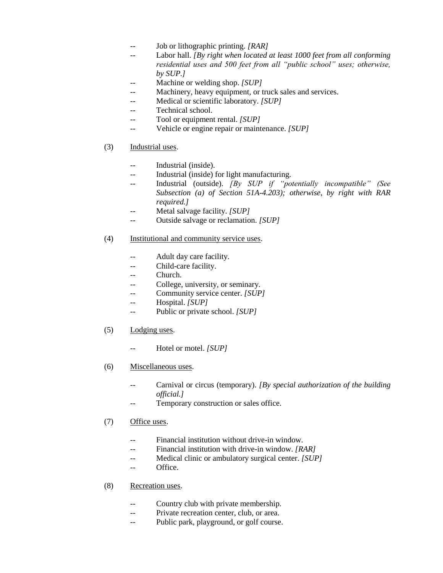- -- Job or lithographic printing. *[RAR]*
- -- Labor hall. *[By right when located at least 1000 feet from all conforming residential uses and 500 feet from all "public school" uses; otherwise, by SUP.]*
- Machine or welding shop. *[SUP]*
- Machinery, heavy equipment, or truck sales and services.
- -- Medical or scientific laboratory. *[SUP]*
- -- Technical school.
- -- Tool or equipment rental. *[SUP]*
- -- Vehicle or engine repair or maintenance. *[SUP]*
- (3) Industrial uses.
	- -- Industrial (inside).
	- -- Industrial (inside) for light manufacturing.
	- -- Industrial (outside). *[By SUP if "potentially incompatible" (See Subsection (a) of Section 51A-4.203); otherwise, by right with RAR required.]*
	- -- Metal salvage facility. *[SUP]*
	- -- Outside salvage or reclamation. *[SUP]*

# (4) Institutional and community service uses.

- -- Adult day care facility.
- -- Child-care facility.
- Church.
- -- College, university, or seminary.
- Community service center. *[SUP]*
- -- Hospital. *[SUP]*
- -- Public or private school. *[SUP]*
- (5) Lodging uses.
	- -- Hotel or motel. *[SUP]*
- (6) Miscellaneous uses.
	- Carnival or circus (temporary). *[By special authorization of the building official.]*
	- -- Temporary construction or sales office.

# (7) Office uses.

- Financial institution without drive-in window.
- -- Financial institution with drive-in window. *[RAR]*
- Medical clinic or ambulatory surgical center. *[SUP]*
- -- Office.
- (8) Recreation uses.
	- -- Country club with private membership.
	- -- Private recreation center, club, or area.
	- -- Public park, playground, or golf course.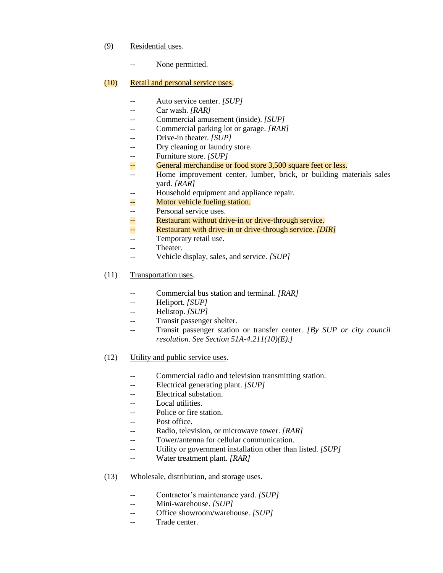- (9) Residential uses.
	- -- None permitted.

### (10) Retail and personal service uses.

- -- Auto service center. *[SUP]*
- -- Car wash. *[RAR]*
- -- Commercial amusement (inside). *[SUP]*
- -- Commercial parking lot or garage. *[RAR]*
- -- Drive-in theater. *[SUP]*
- -- Dry cleaning or laundry store.
- Furniture store. *[SUP]*
- -- General merchandise or food store 3,500 square feet or less.
- -- Home improvement center, lumber, brick, or building materials sales yard. *[RAR]*
- -- Household equipment and appliance repair.
- -- Motor vehicle fueling station.
- -- Personal service uses.
- -- Restaurant without drive-in or drive-through service.
- -- Restaurant with drive-in or drive-through service. *[DIR]*
- -- Temporary retail use.
- -- Theater.
- -- Vehicle display, sales, and service. *[SUP]*
- (11) Transportation uses.
	- Commercial bus station and terminal. *[RAR]*
	- -- Heliport. *[SUP]*
	- -- Helistop. *[SUP]*
	- Transit passenger shelter.
	- -- Transit passenger station or transfer center. *[By SUP or city council resolution. See Section 51A-4.211(10)(E).]*
- (12) Utility and public service uses.
	- -- Commercial radio and television transmitting station.
	- -- Electrical generating plant. *[SUP]*
	- -- Electrical substation.
	- -- Local utilities.
	- Police or fire station.
	- -- Post office.
	- -- Radio, television, or microwave tower. *[RAR]*
	- -- Tower/antenna for cellular communication.
	- -- Utility or government installation other than listed. *[SUP]*
	- -- Water treatment plant. *[RAR]*
- (13) Wholesale, distribution, and storage uses.
	- -- Contractor's maintenance yard. *[SUP]*
	- -- Mini-warehouse. *[SUP]*
	- -- Office showroom/warehouse. *[SUP]*
	- -- Trade center.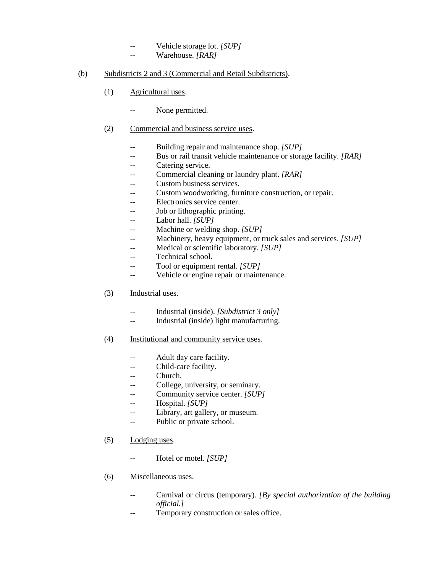- -- Vehicle storage lot. *[SUP]*
- -- Warehouse. *[RAR]*

### (b) Subdistricts 2 and 3 (Commercial and Retail Subdistricts).

- (1) Agricultural uses.
	- -- None permitted.

# (2) Commercial and business service uses.

- -- Building repair and maintenance shop. *[SUP]*
- -- Bus or rail transit vehicle maintenance or storage facility. *[RAR]*
- -- Catering service.
- -- Commercial cleaning or laundry plant. *[RAR]*
- Custom business services.
- -- Custom woodworking, furniture construction, or repair.
- Electronics service center.
- -- Job or lithographic printing.
- -- Labor hall. *[SUP]*
- Machine or welding shop. *[SUP]*
- -- Machinery, heavy equipment, or truck sales and services. *[SUP]*
- -- Medical or scientific laboratory. *[SUP]*
- -- Technical school.
- -- Tool or equipment rental. *[SUP]*
- -- Vehicle or engine repair or maintenance.
- (3) Industrial uses.
	- -- Industrial (inside). *[Subdistrict 3 only]*
	- -- Industrial (inside) light manufacturing.
- (4) Institutional and community service uses.
	- -- Adult day care facility.
	- Child-care facility.
	- -- Church.
	- -- College, university, or seminary.
	- -- Community service center. *[SUP]*
	- -- Hospital. *[SUP]*
	- -- Library, art gallery, or museum.
	- -- Public or private school.
- (5) Lodging uses.
	- -- Hotel or motel. *[SUP]*
- (6) Miscellaneous uses.
	- -- Carnival or circus (temporary). *[By special authorization of the building official.]*
	- -- Temporary construction or sales office.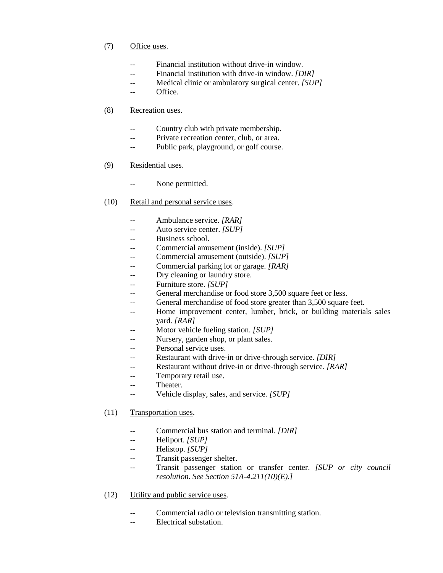# (7) Office uses.

- -- Financial institution without drive-in window.
- -- Financial institution with drive-in window. *[DIR]*
- -- Medical clinic or ambulatory surgical center. *[SUP]*
- Office.

### (8) Recreation uses.

- -- Country club with private membership.
- -- Private recreation center, club, or area.
- -- Public park, playground, or golf course.
- (9) Residential uses.
	- None permitted.
- (10) Retail and personal service uses.
	- -- Ambulance service. *[RAR]*
	- Auto service center. *[SUP]*
	- -- Business school.
	- Commercial amusement (inside). *[SUP]*
	- -- Commercial amusement (outside). *[SUP]*
	- -- Commercial parking lot or garage. *[RAR]*
	- Dry cleaning or laundry store.
	- -- Furniture store. *[SUP]*
	- General merchandise or food store 3,500 square feet or less.
	- -- General merchandise of food store greater than 3,500 square feet.
	- -- Home improvement center, lumber, brick, or building materials sales yard. *[RAR]*
	- Motor vehicle fueling station. *[SUP]*
	- Nursery, garden shop, or plant sales.
	- -- Personal service uses.
	- -- Restaurant with drive-in or drive-through service. *[DIR]*
	- Restaurant without drive-in or drive-through service. *[RAR]*
	- -- Temporary retail use.
	- -- Theater.
	- -- Vehicle display, sales, and service. *[SUP]*
- (11) Transportation uses.
	- -- Commercial bus station and terminal. *[DIR]*
	- -- Heliport. *[SUP]*
	- -- Helistop. *[SUP]*
	- Transit passenger shelter.
	- -- Transit passenger station or transfer center. *[SUP or city council resolution. See Section 51A-4.211(10)(E).]*
- (12) Utility and public service uses.
	- Commercial radio or television transmitting station.
	- -- Electrical substation.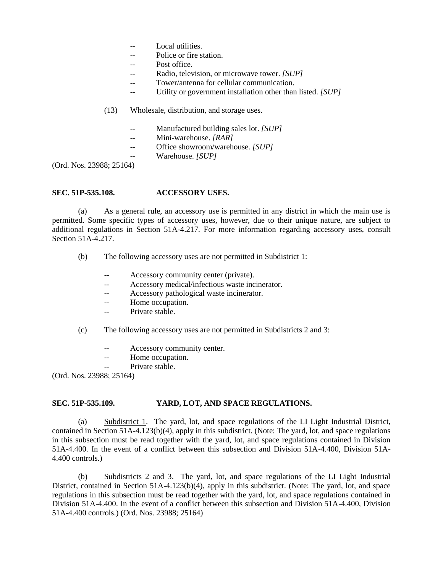- Local utilities.
- -- Police or fire station.
- Post office.
- -- Radio, television, or microwave tower. *[SUP]*
- Tower/antenna for cellular communication.
- Utility or government installation other than listed. *[SUP]*

### (13) Wholesale, distribution, and storage uses.

- -- Manufactured building sales lot. *[SUP]*
- -- Mini-warehouse. *[RAR]*
- -- Office showroom/warehouse. *[SUP]*
	- Warehouse. *[SUP]*

(Ord. Nos. 23988; 25164)

### **SEC. 51P-535.108. ACCESSORY USES.**

(a) As a general rule, an accessory use is permitted in any district in which the main use is permitted. Some specific types of accessory uses, however, due to their unique nature, are subject to additional regulations in Section 51A-4.217. For more information regarding accessory uses, consult Section 51A-4.217.

- (b) The following accessory uses are not permitted in Subdistrict 1:
	- Accessory community center (private).
	- -- Accessory medical/infectious waste incinerator.
	- -- Accessory pathological waste incinerator.
	- -- Home occupation.
	- -- Private stable.
- (c) The following accessory uses are not permitted in Subdistricts 2 and 3:
	- -- Accessory community center.
	- -- Home occupation.
	- Private stable.

(Ord. Nos. 23988; 25164)

### **SEC. 51P-535.109. YARD, LOT, AND SPACE REGULATIONS.**

(a) Subdistrict 1. The yard, lot, and space regulations of the LI Light Industrial District, contained in Section 51A-4.123(b)(4), apply in this subdistrict. (Note: The yard, lot, and space regulations in this subsection must be read together with the yard, lot, and space regulations contained in Division 51A-4.400. In the event of a conflict between this subsection and Division 51A-4.400, Division 51A-4.400 controls.)

(b) Subdistricts 2 and 3. The yard, lot, and space regulations of the LI Light Industrial District, contained in Section 51A-4.123(b)(4), apply in this subdistrict. (Note: The yard, lot, and space regulations in this subsection must be read together with the yard, lot, and space regulations contained in Division 51A-4.400. In the event of a conflict between this subsection and Division 51A-4.400, Division 51A-4.400 controls.) (Ord. Nos. 23988; 25164)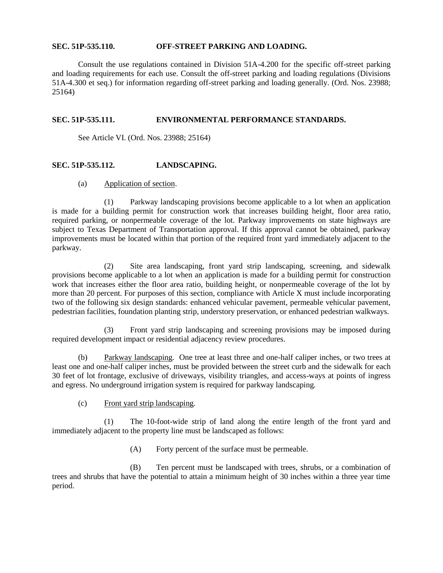### **SEC. 51P-535.110. OFF-STREET PARKING AND LOADING.**

Consult the use regulations contained in Division 51A-4.200 for the specific off-street parking and loading requirements for each use. Consult the off-street parking and loading regulations (Divisions 51A-4.300 et seq.) for information regarding off-street parking and loading generally. (Ord. Nos. 23988; 25164)

### **SEC. 51P-535.111. ENVIRONMENTAL PERFORMANCE STANDARDS.**

See Article VI. (Ord. Nos. 23988; 25164)

### **SEC. 51P-535.112. LANDSCAPING.**

(a) Application of section.

(1) Parkway landscaping provisions become applicable to a lot when an application is made for a building permit for construction work that increases building height, floor area ratio, required parking, or nonpermeable coverage of the lot. Parkway improvements on state highways are subject to Texas Department of Transportation approval. If this approval cannot be obtained, parkway improvements must be located within that portion of the required front yard immediately adjacent to the parkway.

(2) Site area landscaping, front yard strip landscaping, screening, and sidewalk provisions become applicable to a lot when an application is made for a building permit for construction work that increases either the floor area ratio, building height, or nonpermeable coverage of the lot by more than 20 percent. For purposes of this section, compliance with Article X must include incorporating two of the following six design standards: enhanced vehicular pavement, permeable vehicular pavement, pedestrian facilities, foundation planting strip, understory preservation, or enhanced pedestrian walkways.

(3) Front yard strip landscaping and screening provisions may be imposed during required development impact or residential adjacency review procedures.

(b) Parkway landscaping. One tree at least three and one-half caliper inches, or two trees at least one and one-half caliper inches, must be provided between the street curb and the sidewalk for each 30 feet of lot frontage, exclusive of driveways, visibility triangles, and access-ways at points of ingress and egress. No underground irrigation system is required for parkway landscaping.

(c) Front yard strip landscaping.

(1) The 10-foot-wide strip of land along the entire length of the front yard and immediately adjacent to the property line must be landscaped as follows:

(A) Forty percent of the surface must be permeable.

(B) Ten percent must be landscaped with trees, shrubs, or a combination of trees and shrubs that have the potential to attain a minimum height of 30 inches within a three year time period.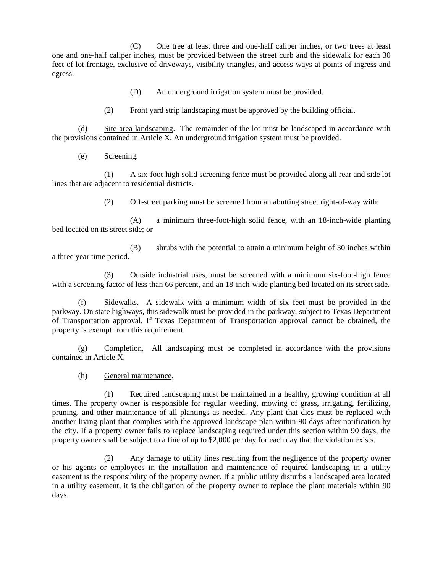(C) One tree at least three and one-half caliper inches, or two trees at least one and one-half caliper inches, must be provided between the street curb and the sidewalk for each 30 feet of lot frontage, exclusive of driveways, visibility triangles, and access-ways at points of ingress and egress.

(D) An underground irrigation system must be provided.

(2) Front yard strip landscaping must be approved by the building official.

(d) Site area landscaping. The remainder of the lot must be landscaped in accordance with the provisions contained in Article X. An underground irrigation system must be provided.

(e) Screening.

(1) A six-foot-high solid screening fence must be provided along all rear and side lot lines that are adjacent to residential districts.

(2) Off-street parking must be screened from an abutting street right-of-way with:

(A) a minimum three-foot-high solid fence, with an 18-inch-wide planting bed located on its street side; or

(B) shrubs with the potential to attain a minimum height of 30 inches within a three year time period.

(3) Outside industrial uses, must be screened with a minimum six-foot-high fence with a screening factor of less than 66 percent, and an 18-inch-wide planting bed located on its street side.

(f) Sidewalks. A sidewalk with a minimum width of six feet must be provided in the parkway. On state highways, this sidewalk must be provided in the parkway, subject to Texas Department of Transportation approval. If Texas Department of Transportation approval cannot be obtained, the property is exempt from this requirement.

(g) Completion. All landscaping must be completed in accordance with the provisions contained in Article X.

(h) General maintenance.

(1) Required landscaping must be maintained in a healthy, growing condition at all times. The property owner is responsible for regular weeding, mowing of grass, irrigating, fertilizing, pruning, and other maintenance of all plantings as needed. Any plant that dies must be replaced with another living plant that complies with the approved landscape plan within 90 days after notification by the city. If a property owner fails to replace landscaping required under this section within 90 days, the property owner shall be subject to a fine of up to \$2,000 per day for each day that the violation exists.

(2) Any damage to utility lines resulting from the negligence of the property owner or his agents or employees in the installation and maintenance of required landscaping in a utility easement is the responsibility of the property owner. If a public utility disturbs a landscaped area located in a utility easement, it is the obligation of the property owner to replace the plant materials within 90 days.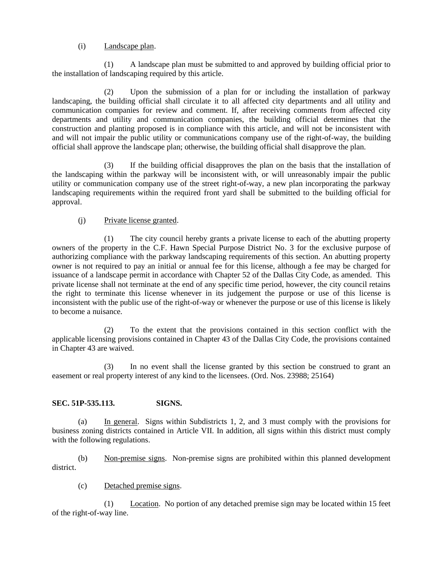# (i) Landscape plan.

(1) A landscape plan must be submitted to and approved by building official prior to the installation of landscaping required by this article.

(2) Upon the submission of a plan for or including the installation of parkway landscaping, the building official shall circulate it to all affected city departments and all utility and communication companies for review and comment. If, after receiving comments from affected city departments and utility and communication companies, the building official determines that the construction and planting proposed is in compliance with this article, and will not be inconsistent with and will not impair the public utility or communications company use of the right-of-way, the building official shall approve the landscape plan; otherwise, the building official shall disapprove the plan.

(3) If the building official disapproves the plan on the basis that the installation of the landscaping within the parkway will be inconsistent with, or will unreasonably impair the public utility or communication company use of the street right-of-way, a new plan incorporating the parkway landscaping requirements within the required front yard shall be submitted to the building official for approval.

# (j) Private license granted.

(1) The city council hereby grants a private license to each of the abutting property owners of the property in the C.F. Hawn Special Purpose District No. 3 for the exclusive purpose of authorizing compliance with the parkway landscaping requirements of this section. An abutting property owner is not required to pay an initial or annual fee for this license, although a fee may be charged for issuance of a landscape permit in accordance with Chapter 52 of the Dallas City Code, as amended. This private license shall not terminate at the end of any specific time period, however, the city council retains the right to terminate this license whenever in its judgement the purpose or use of this license is inconsistent with the public use of the right-of-way or whenever the purpose or use of this license is likely to become a nuisance.

(2) To the extent that the provisions contained in this section conflict with the applicable licensing provisions contained in Chapter 43 of the Dallas City Code, the provisions contained in Chapter 43 are waived.

(3) In no event shall the license granted by this section be construed to grant an easement or real property interest of any kind to the licensees. (Ord. Nos. 23988; 25164)

# **SEC. 51P-535.113. SIGNS.**

(a) In general. Signs within Subdistricts 1, 2, and 3 must comply with the provisions for business zoning districts contained in Article VII. In addition, all signs within this district must comply with the following regulations.

(b) Non-premise signs. Non-premise signs are prohibited within this planned development district.

(c) Detached premise signs.

(1) Location. No portion of any detached premise sign may be located within 15 feet of the right-of-way line.